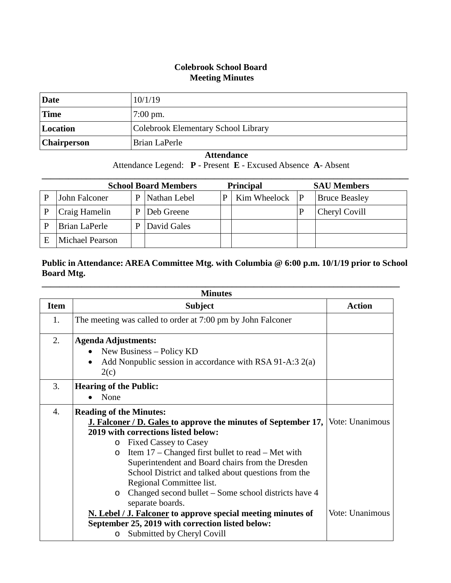## **Colebrook School Board Meeting Minutes**

| Date               | 10/1/19                             |
|--------------------|-------------------------------------|
| <b>Time</b>        | $7:00 \text{ pm}.$                  |
| Location           | Colebrook Elementary School Library |
| <b>Chairperson</b> | Brian LaPerle                       |

## **Attendance** Attendance Legend: **P** - Present **E** - Excused Absence **A**- Absent

| <b>School Board Members</b> |                 |   |              | <b>Principal</b> |              |   | <b>SAU Members</b>   |
|-----------------------------|-----------------|---|--------------|------------------|--------------|---|----------------------|
|                             | John Falconer   | P | Nathan Lebel | P                | Kim Wheelock | P | <b>Bruce Beasley</b> |
|                             | Craig Hamelin   |   | Deb Greene   |                  |              |   | Cheryl Covill        |
|                             | Brian LaPerle   |   | David Gales  |                  |              |   |                      |
| E                           | Michael Pearson |   |              |                  |              |   |                      |

## **Public in Attendance: AREA Committee Mtg. with Columbia @ 6:00 p.m. 10/1/19 prior to School Board Mtg.**

| <b>Minutes</b> |                                                                                                                                                                                                                                                                                                                                                                                                                                                                                                                                                                                                                                                                  |                 |  |  |
|----------------|------------------------------------------------------------------------------------------------------------------------------------------------------------------------------------------------------------------------------------------------------------------------------------------------------------------------------------------------------------------------------------------------------------------------------------------------------------------------------------------------------------------------------------------------------------------------------------------------------------------------------------------------------------------|-----------------|--|--|
| <b>Item</b>    | <b>Subject</b>                                                                                                                                                                                                                                                                                                                                                                                                                                                                                                                                                                                                                                                   | <b>Action</b>   |  |  |
| 1.             | The meeting was called to order at 7:00 pm by John Falconer                                                                                                                                                                                                                                                                                                                                                                                                                                                                                                                                                                                                      |                 |  |  |
| 2.             | <b>Agenda Adjustments:</b><br>New Business – Policy KD<br>Add Nonpublic session in accordance with RSA 91-A:3 $2(a)$<br>$\bullet$<br>2(c)                                                                                                                                                                                                                                                                                                                                                                                                                                                                                                                        |                 |  |  |
| 3.             | <b>Hearing of the Public:</b><br>None                                                                                                                                                                                                                                                                                                                                                                                                                                                                                                                                                                                                                            |                 |  |  |
| 4.             | <b>Reading of the Minutes:</b><br><b>J. Falconer / D. Gales to approve the minutes of September 17, Vote: Unanimous</b><br>2019 with corrections listed below:<br><b>Fixed Cassey to Casey</b><br>$\circ$<br>Item $17$ – Changed first bullet to read – Met with<br>$\circ$<br>Superintendent and Board chairs from the Dresden<br>School District and talked about questions from the<br>Regional Committee list.<br>Changed second bullet – Some school districts have 4<br>O<br>separate boards.<br>N. Lebel / J. Falconer to approve special meeting minutes of<br>September 25, 2019 with correction listed below:<br>Submitted by Cheryl Covill<br>$\circ$ | Vote: Unanimous |  |  |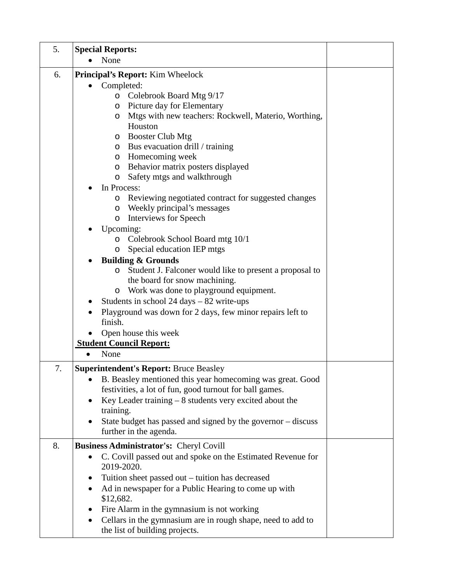| 5. | <b>Special Reports:</b>                                            |  |
|----|--------------------------------------------------------------------|--|
|    | None                                                               |  |
| 6. | <b>Principal's Report:</b> Kim Wheelock                            |  |
|    | Completed:                                                         |  |
|    | Colebrook Board Mtg 9/17<br>$\circ$                                |  |
|    | Picture day for Elementary<br>O                                    |  |
|    | Mtgs with new teachers: Rockwell, Materio, Worthing,<br>O          |  |
|    | Houston                                                            |  |
|    | Booster Club Mtg<br>$\circ$                                        |  |
|    | Bus evacuation drill / training<br>$\circ$                         |  |
|    | Homecoming week<br>$\circ$<br>Behavior matrix posters displayed    |  |
|    | $\circ$<br>Safety mtgs and walkthrough<br>$\circ$                  |  |
|    | In Process:                                                        |  |
|    | Reviewing negotiated contract for suggested changes<br>$\circ$     |  |
|    | Weekly principal's messages<br>O                                   |  |
|    | <b>Interviews for Speech</b><br>$\circ$                            |  |
|    | Upcoming:                                                          |  |
|    | Colebrook School Board mtg 10/1<br>$\circ$                         |  |
|    | Special education IEP mtgs<br>O                                    |  |
|    | <b>Building &amp; Grounds</b>                                      |  |
|    | Student J. Falconer would like to present a proposal to<br>$\circ$ |  |
|    | the board for snow machining.                                      |  |
|    | Work was done to playground equipment.<br>O                        |  |
|    | Students in school $24 \text{ days} - 82 \text{ write-ups}$        |  |
|    | Playground was down for 2 days, few minor repairs left to          |  |
|    | finish.                                                            |  |
|    | Open house this week                                               |  |
|    | <b>Student Council Report:</b>                                     |  |
|    | None                                                               |  |
| 7. | <b>Superintendent's Report: Bruce Beasley</b>                      |  |
|    | B. Beasley mentioned this year homecoming was great. Good          |  |
|    | festivities, a lot of fun, good turnout for ball games.            |  |
|    | Key Leader training $-8$ students very excited about the           |  |
|    | training.                                                          |  |
|    | State budget has passed and signed by the governor – discuss       |  |
|    | further in the agenda.                                             |  |
| 8. | <b>Business Administrator's: Cheryl Covill</b>                     |  |
|    | C. Covill passed out and spoke on the Estimated Revenue for        |  |
|    | 2019-2020.                                                         |  |
|    | Tuition sheet passed out – tuition has decreased                   |  |
|    | Ad in newspaper for a Public Hearing to come up with               |  |
|    | \$12,682.                                                          |  |
|    | Fire Alarm in the gymnasium is not working                         |  |
|    | Cellars in the gymnasium are in rough shape, need to add to        |  |
|    | the list of building projects.                                     |  |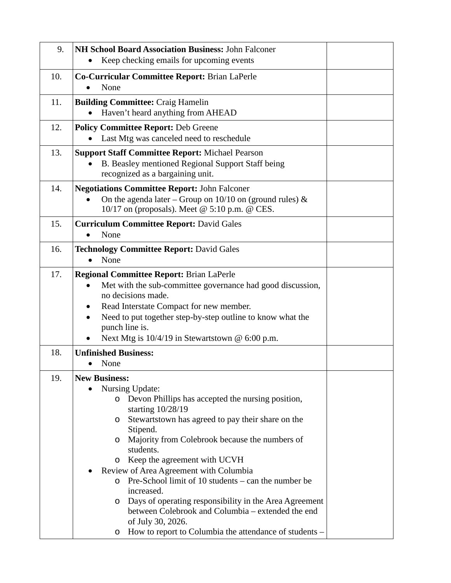| 9.  | <b>NH School Board Association Business: John Falconer</b>                                                                                                                                                                                                                                                                                                                                                                                                                                                                                                                                                                                      |  |
|-----|-------------------------------------------------------------------------------------------------------------------------------------------------------------------------------------------------------------------------------------------------------------------------------------------------------------------------------------------------------------------------------------------------------------------------------------------------------------------------------------------------------------------------------------------------------------------------------------------------------------------------------------------------|--|
|     | Keep checking emails for upcoming events                                                                                                                                                                                                                                                                                                                                                                                                                                                                                                                                                                                                        |  |
| 10. | Co-Curricular Committee Report: Brian LaPerle<br>None                                                                                                                                                                                                                                                                                                                                                                                                                                                                                                                                                                                           |  |
| 11. | <b>Building Committee: Craig Hamelin</b><br>Haven't heard anything from AHEAD                                                                                                                                                                                                                                                                                                                                                                                                                                                                                                                                                                   |  |
| 12. | <b>Policy Committee Report: Deb Greene</b><br>Last Mtg was canceled need to reschedule                                                                                                                                                                                                                                                                                                                                                                                                                                                                                                                                                          |  |
| 13. | <b>Support Staff Committee Report: Michael Pearson</b><br>B. Beasley mentioned Regional Support Staff being<br>recognized as a bargaining unit.                                                                                                                                                                                                                                                                                                                                                                                                                                                                                                 |  |
| 14. | <b>Negotiations Committee Report: John Falconer</b><br>On the agenda later – Group on $10/10$ on (ground rules) &<br>10/17 on (proposals). Meet @ 5:10 p.m. @ CES.                                                                                                                                                                                                                                                                                                                                                                                                                                                                              |  |
| 15. | <b>Curriculum Committee Report: David Gales</b><br>None<br>$\bullet$                                                                                                                                                                                                                                                                                                                                                                                                                                                                                                                                                                            |  |
| 16. | <b>Technology Committee Report: David Gales</b><br>None<br>$\bullet$                                                                                                                                                                                                                                                                                                                                                                                                                                                                                                                                                                            |  |
| 17. | <b>Regional Committee Report: Brian LaPerle</b><br>Met with the sub-committee governance had good discussion,<br>no decisions made.<br>Read Interstate Compact for new member.<br>٠<br>Need to put together step-by-step outline to know what the<br>$\bullet$<br>punch line is.<br>Next Mtg is 10/4/19 in Stewartstown @ 6:00 p.m.                                                                                                                                                                                                                                                                                                             |  |
| 18. | <b>Unfinished Business:</b><br>None                                                                                                                                                                                                                                                                                                                                                                                                                                                                                                                                                                                                             |  |
| 19. | <b>New Business:</b><br>Nursing Update:<br>Devon Phillips has accepted the nursing position,<br>O<br>starting $10/28/19$<br>Stewartstown has agreed to pay their share on the<br>O<br>Stipend.<br>Majority from Colebrook because the numbers of<br>O<br>students.<br>Keep the agreement with UCVH<br>$\circ$<br>Review of Area Agreement with Columbia<br>Pre-School limit of 10 students – can the number be<br>$\circ$<br>increased.<br>Days of operating responsibility in the Area Agreement<br>O<br>between Colebrook and Columbia – extended the end<br>of July 30, 2026.<br>How to report to Columbia the attendance of students –<br>O |  |